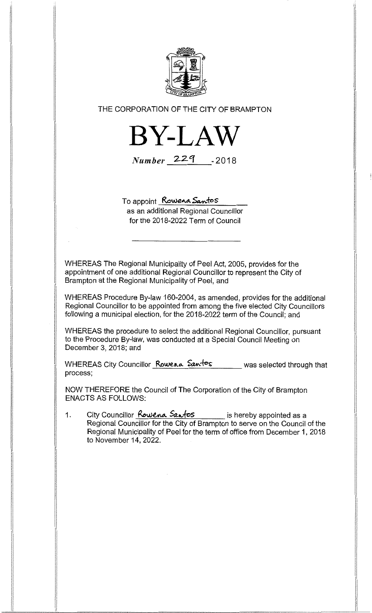

## THE CORPORATION OF THE CITY OF BRAMPTON



 $Number$  229  $-2018$ 

To appoint Rowena Santos

as an additional Regional Councillor for the 2018-2022 Term of Council

WHEREAS The Regional Municipality of Peel Act, 2005, provides for the appointment of one additional Regional Councillor to represent the City of Brampton at the Regional Municipality of Peel, and

WHEREAS Procedure By-law 160-2004, as amended, provides for the additional Regional Councillor to be appointed from among the five elected City Councillors following a municipal election, for the 2018-2022 term of the Council; and

WHEREAS the procedure to select the additional Regional Councillor, pursuant to the Procedure By-law, was conducted at a Special Council Meeting on December 3, 2018; and

WHEREAS City Councillor Rowena Santos was selected through that process;

NOW THEREFORE the Council of The Corporation of the City of Brampton ENACTS AS FOLLOWS:

1. City Councillor **Rowena Santos** is hereby appointed as a Regional Councillor for the City of Brampton to serve on the Council of the Regional Municipality of Peel for the term of office from December 1, 2018 to November 14, 2022.